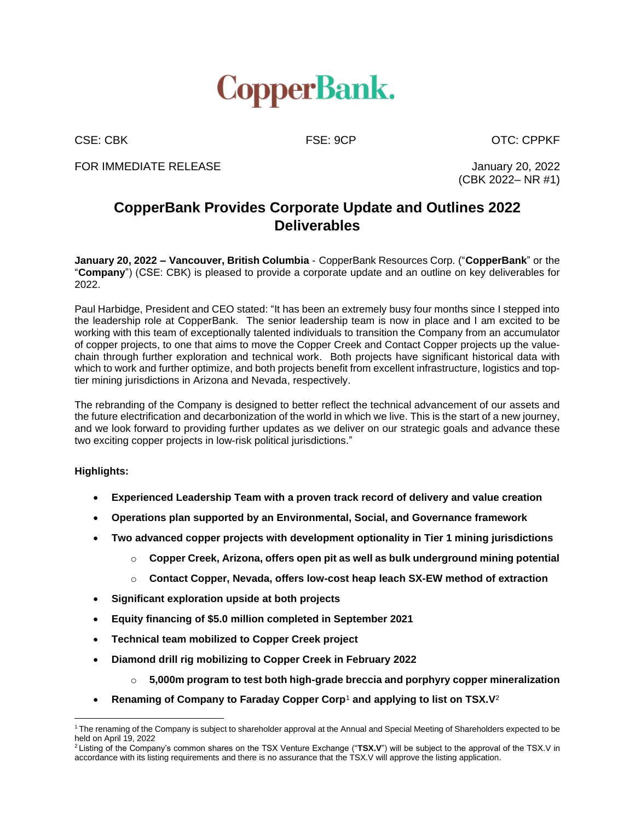

CSE: CBK FSE: 9CP CSE: CDPKF

FOR IMMEDIATE RELEASE **FOR IMMEDIATE** RELEASE

(CBK 2022– NR #1)

# **CopperBank Provides Corporate Update and Outlines 2022 Deliverables**

**January 20, 2022 – Vancouver, British Columbia** - CopperBank Resources Corp. ("**CopperBank**" or the "**Company**") (CSE: CBK) is pleased to provide a corporate update and an outline on key deliverables for 2022.

Paul Harbidge, President and CEO stated: "It has been an extremely busy four months since I stepped into the leadership role at CopperBank. The senior leadership team is now in place and I am excited to be working with this team of exceptionally talented individuals to transition the Company from an accumulator of copper projects, to one that aims to move the Copper Creek and Contact Copper projects up the valuechain through further exploration and technical work. Both projects have significant historical data with which to work and further optimize, and both projects benefit from excellent infrastructure, logistics and toptier mining jurisdictions in Arizona and Nevada, respectively.

The rebranding of the Company is designed to better reflect the technical advancement of our assets and the future electrification and decarbonization of the world in which we live. This is the start of a new journey, and we look forward to providing further updates as we deliver on our strategic goals and advance these two exciting copper projects in low-risk political jurisdictions."

### **Highlights:**

- **Experienced Leadership Team with a proven track record of delivery and value creation**
- **Operations plan supported by an Environmental, Social, and Governance framework**
- **Two advanced copper projects with development optionality in Tier 1 mining jurisdictions**
	- o **Copper Creek, Arizona, offers open pit as well as bulk underground mining potential**
	- o **Contact Copper, Nevada, offers low-cost heap leach SX-EW method of extraction**
- **Significant exploration upside at both projects**
- **Equity financing of \$5.0 million completed in September 2021**
- **Technical team mobilized to Copper Creek project**
- **Diamond drill rig mobilizing to Copper Creek in February 2022**
	- o **5,000m program to test both high-grade breccia and porphyry copper mineralization**
- **Renaming of Company to Faraday Copper Corp**<sup>1</sup> **and applying to list on TSX.V**<sup>2</sup>

<sup>1</sup> The renaming of the Company is subject to shareholder approval at the Annual and Special Meeting of Shareholders expected to be held on April 19, 2022

<sup>2</sup> Listing of the Company's common shares on the TSX Venture Exchange ("**TSX.V**") will be subject to the approval of the TSX.V in accordance with its listing requirements and there is no assurance that the TSX.V will approve the listing application.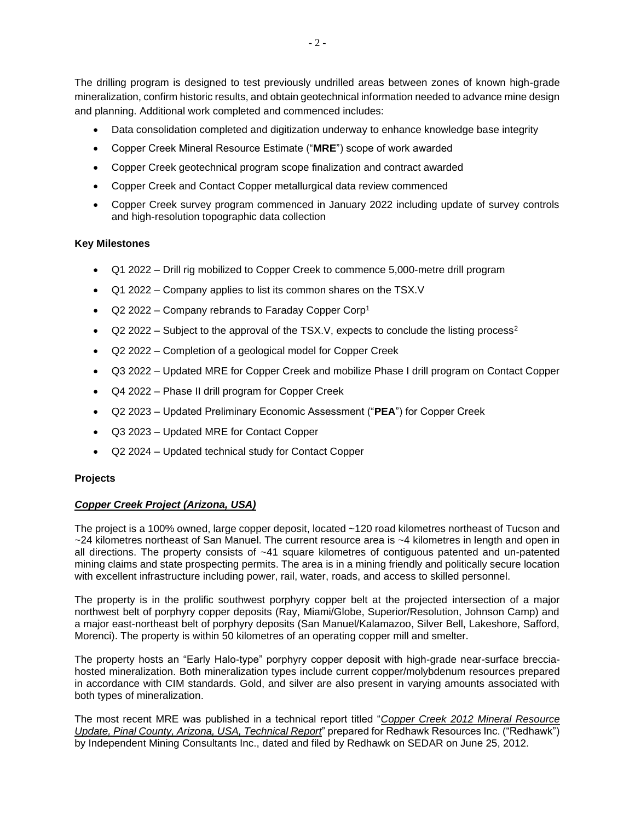The drilling program is designed to test previously undrilled areas between zones of known high-grade mineralization, confirm historic results, and obtain geotechnical information needed to advance mine design and planning. Additional work completed and commenced includes:

- Data consolidation completed and digitization underway to enhance knowledge base integrity
- Copper Creek Mineral Resource Estimate ("**MRE**") scope of work awarded
- Copper Creek geotechnical program scope finalization and contract awarded
- Copper Creek and Contact Copper metallurgical data review commenced
- Copper Creek survey program commenced in January 2022 including update of survey controls and high-resolution topographic data collection

### **Key Milestones**

- Q1 2022 Drill rig mobilized to Copper Creek to commence 5,000-metre drill program
- Q1 2022 Company applies to list its common shares on the TSX.V
- Q2 2022 Company rebrands to Faraday Copper Corp<sup>1</sup>
- $Q2$  2022 Subject to the approval of the TSX.V, expects to conclude the listing process<sup>2</sup>
- Q2 2022 Completion of a geological model for Copper Creek
- Q3 2022 Updated MRE for Copper Creek and mobilize Phase I drill program on Contact Copper
- Q4 2022 Phase II drill program for Copper Creek
- Q2 2023 Updated Preliminary Economic Assessment ("**PEA**") for Copper Creek
- Q3 2023 Updated MRE for Contact Copper
- Q2 2024 Updated technical study for Contact Copper

### **Projects**

## *Copper Creek Project (Arizona, USA)*

The project is a 100% owned, large copper deposit, located ~120 road kilometres northeast of Tucson and ~24 kilometres northeast of San Manuel. The current resource area is ~4 kilometres in length and open in all directions. The property consists of ~41 square kilometres of contiguous patented and un-patented mining claims and state prospecting permits. The area is in a mining friendly and politically secure location with excellent infrastructure including power, rail, water, roads, and access to skilled personnel.

The property is in the prolific southwest porphyry copper belt at the projected intersection of a major northwest belt of porphyry copper deposits (Ray, Miami/Globe, Superior/Resolution, Johnson Camp) and a major east-northeast belt of porphyry deposits (San Manuel/Kalamazoo, Silver Bell, Lakeshore, Safford, Morenci). The property is within 50 kilometres of an operating copper mill and smelter.

The property hosts an "Early Halo-type" porphyry copper deposit with high-grade near-surface brecciahosted mineralization. Both mineralization types include current copper/molybdenum resources prepared in accordance with CIM standards. Gold, and silver are also present in varying amounts associated with both types of mineralization.

The most recent MRE was published in a technical report titled "*Copper Creek 2012 Mineral [Resource](https://www.copperbankcorp.com/_resources/pdf/Copper-Creek-Min-Resource-NI43-101-January-31-2013.pdf) Update, Pinal County, Arizona, USA, [Technical](https://www.copperbankcorp.com/_resources/pdf/Copper-Creek-Min-Resource-NI43-101-January-31-2013.pdf) Report*" prepared for Redhawk Resources Inc. ("Redhawk") by Independent Mining Consultants Inc., dated and filed by Redhawk on SEDAR on June 25, 2012.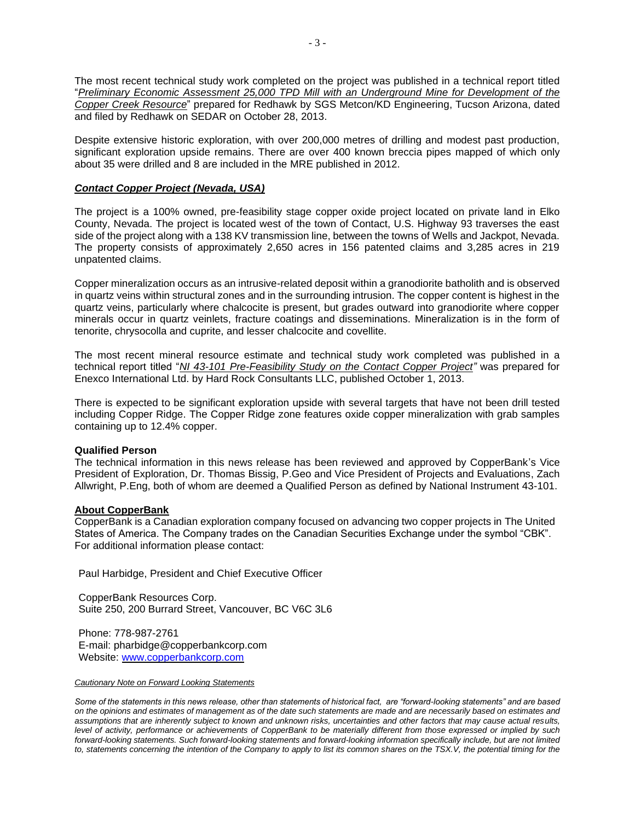- 3 -

The most recent technical study work completed on the project was published in a technical report titled "*Preliminary Economic Assessment 25,000 TPD Mill with an Underground Mine for [Development](https://www.copperbankcorp.com/_resources/pdf/Q400-05-028-Redhawk-PEA-25000-tpd-Mill-AMENDED-10-28-13.pdf) of the Copper Creek [Resource](https://www.copperbankcorp.com/_resources/pdf/Q400-05-028-Redhawk-PEA-25000-tpd-Mill-AMENDED-10-28-13.pdf)*" prepared for Redhawk by SGS Metcon/KD Engineering, Tucson Arizona, dated and filed by Redhawk on SEDAR on October 28, 2013.

Despite extensive historic exploration, with over 200,000 metres of drilling and modest past production, significant exploration upside remains. There are over 400 known breccia pipes mapped of which only about 35 were drilled and 8 are included in the MRE published in 2012.

### *Contact Copper Project (Nevada, USA)*

The project is a 100% owned, pre-feasibility stage copper oxide project located on private land in Elko County, Nevada. The project is located west of the town of Contact, U.S. Highway 93 traverses the east side of the project along with a 138 KV transmission line, between the towns of Wells and Jackpot, Nevada. The property consists of approximately 2,650 acres in 156 patented claims and 3,285 acres in 219 unpatented claims.

Copper mineralization occurs as an intrusive-related deposit within a granodiorite batholith and is observed in quartz veins within structural zones and in the surrounding intrusion. The copper content is highest in the quartz veins, particularly where chalcocite is present, but grades outward into granodiorite where copper minerals occur in quartz veinlets, fracture coatings and disseminations. Mineralization is in the form of tenorite, chrysocolla and cuprite, and lesser chalcocite and covellite.

The most recent mineral resource estimate and technical study work completed was published in a technical report titled "*NI 43-101 [Pre-Feasibility](https://www.copperbankcorp.com/_resources/pdf/2013-pre-feasibility-study.pdf) Study on the Contact Copper Project"* was prepared for Enexco International Ltd. by Hard Rock Consultants LLC, published October 1, 2013.

There is expected to be significant exploration upside with several targets that have not been drill tested including Copper Ridge. The Copper Ridge zone features oxide copper mineralization with grab samples containing up to 12.4% copper.

### **Qualified Person**

The technical information in this news release has been reviewed and approved by CopperBank's Vice President of Exploration, Dr. Thomas Bissig, P.Geo and Vice President of Projects and Evaluations, Zach Allwright, P.Eng, both of whom are deemed a Qualified Person as defined by National Instrument 43-101.

### **About CopperBank**

CopperBank is a Canadian exploration company focused on advancing two copper projects in The United States of America. The Company trades on the Canadian Securities Exchange under the symbol "CBK". For additional information please contact:

Paul Harbidge, President and Chief Executive Officer

CopperBank Resources Corp. Suite 250, 200 Burrard Street, Vancouver, BC V6C 3L6

Phone: 778-987-2761 E-mail: pharbidge@copperbankcorp.com Website: [www.copperbankcorp.com](http://www.copperbankcorp.com/)

#### *Cautionary Note on Forward Looking Statements*

*Some of the statements in this news release, other than statements of historical fact, are "forward-looking statements" and are based on the opinions and estimates of management as of the date such statements are made and are necessarily based on estimates and assumptions that are inherently subject to known and unknown risks, uncertainties and other factors that may cause actual results, level of activity, performance or achievements of CopperBank to be materially different from those expressed or implied by such forward-looking statements. Such forward-looking statements and forward-looking information specifically include, but are not limited to, statements concerning the intention of the Company to apply to list its common shares on the TSX.V, the potential timing for the*